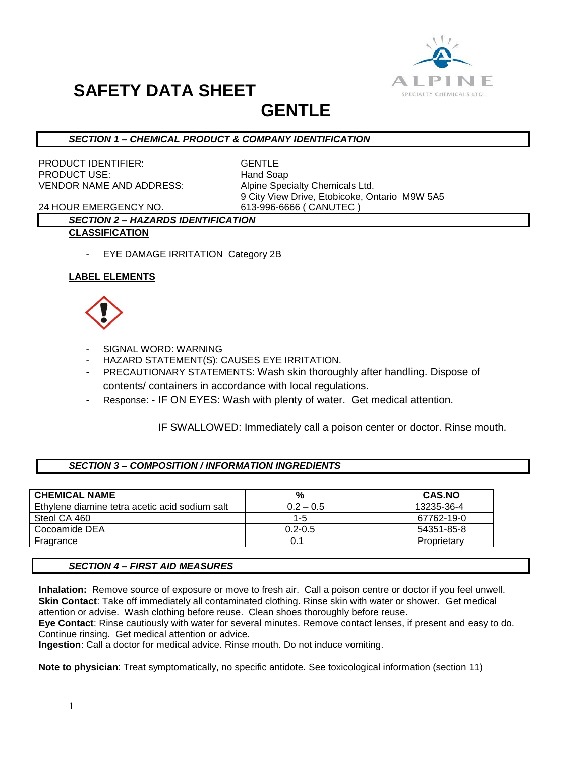

### **GENTLE**

#### *SECTION 1 – CHEMICAL PRODUCT & COMPANY IDENTIFICATION*

PRODUCT IDENTIFIER: GENTLE PRODUCT USE: Hand Soap VENDOR NAME AND ADDRESS: Alpine Specialty Chemicals Ltd.

9 City View Drive, Etobicoke, Ontario M9W 5A5

24 HOUR EMERGENCY NO. 613-996-6666 ( CANUTEC )

#### *SECTION 2 – HAZARDS IDENTIFICATION* **CLASSIFICATION**

- EYE DAMAGE IRRITATION Category 2B

#### **LABEL ELEMENTS**



- SIGNAL WORD: WARNING
- HAZARD STATEMENT(S): CAUSES EYE IRRITATION.
- PRECAUTIONARY STATEMENTS: Wash skin thoroughly after handling. Dispose of contents/ containers in accordance with local regulations.
- Response: IF ON EYES: Wash with plenty of water. Get medical attention.

#### IF SWALLOWED: Immediately call a poison center or doctor. Rinse mouth.

#### *SECTION 3 – COMPOSITION / INFORMATION INGREDIENTS*

| <b>CHEMICAL NAME</b>                           | %           | <b>CAS.NO</b> |
|------------------------------------------------|-------------|---------------|
| Ethylene diamine tetra acetic acid sodium salt | $0.2 - 0.5$ | 13235-36-4    |
| Steol CA 460                                   | $1-5$       | 67762-19-0    |
| Cocoamide DEA                                  | $0.2 - 0.5$ | 54351-85-8    |
| Fragrance                                      | 0.1         | Proprietary   |

#### *SECTION 4 – FIRST AID MEASURES*

**Inhalation:** Remove source of exposure or move to fresh air. Call a poison centre or doctor if you feel unwell. **Skin Contact**: Take off immediately all contaminated clothing. Rinse skin with water or shower. Get medical attention or advise. Wash clothing before reuse. Clean shoes thoroughly before reuse.

**Eye Contact**: Rinse cautiously with water for several minutes. Remove contact lenses, if present and easy to do. Continue rinsing. Get medical attention or advice.

**Ingestion**: Call a doctor for medical advice. Rinse mouth. Do not induce vomiting.

**Note to physician**: Treat symptomatically, no specific antidote. See toxicological information (section 11)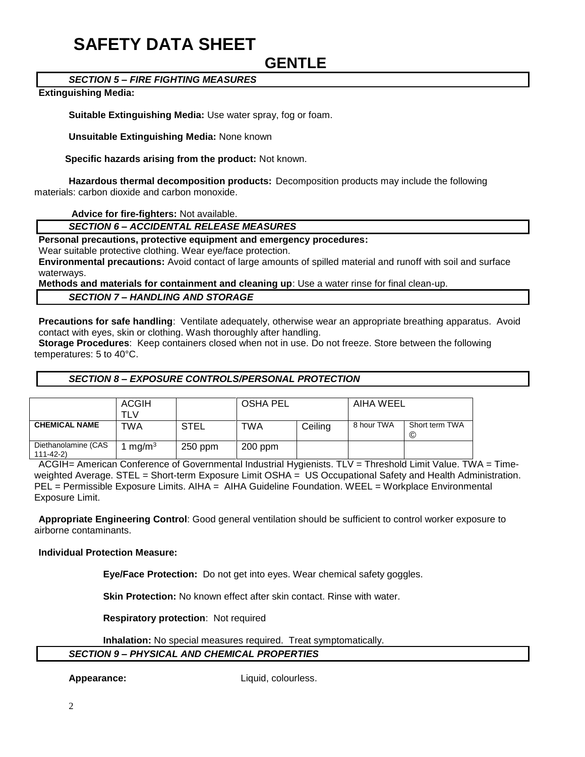### **GENTLE**

#### *SECTION 5 – FIRE FIGHTING MEASURES*

#### **Extinguishing Media:**

**Suitable Extinguishing Media:** Use water spray, fog or foam.

**Unsuitable Extinguishing Media:** None known

 **Specific hazards arising from the product:** Not known.

**Hazardous thermal decomposition products:** Decomposition products may include the following materials: carbon dioxide and carbon monoxide.

**Advice for fire-fighters:** Not available.

#### *SECTION 6 – ACCIDENTAL RELEASE MEASURES*

**Personal precautions, protective equipment and emergency procedures:**

Wear suitable protective clothing. Wear eye/face protection.

**Environmental precautions:** Avoid contact of large amounts of spilled material and runoff with soil and surface waterways.

**Methods and materials for containment and cleaning up**: Use a water rinse for final clean-up.

*SECTION 7 – HANDLING AND STORAGE*

**Precautions for safe handling**: Ventilate adequately, otherwise wear an appropriate breathing apparatus. Avoid contact with eyes, skin or clothing. Wash thoroughly after handling.

**Storage Procedures**: Keep containers closed when not in use. Do not freeze. Store between the following temperatures: 5 to 40°C.

#### *SECTION 8 – EXPOSURE CONTROLS/PERSONAL PROTECTION*

|                                       | <b>ACGIH</b><br>™∟∨ |             | <b>OSHA PEL</b> |         | AIHA WEEL  |                     |
|---------------------------------------|---------------------|-------------|-----------------|---------|------------|---------------------|
| <b>CHEMICAL NAME</b>                  | TWA                 | <b>STEL</b> | TWA             | Ceiling | 8 hour TWA | Short term TWA<br>C |
| Diethanolamine (CAS<br>$111 - 42 - 2$ | mg/m <sup>3</sup>   | $250$ ppm   | $200$ ppm       |         |            |                     |

ACGIH= American Conference of Governmental Industrial Hygienists. TLV = Threshold Limit Value. TWA = Timeweighted Average. STEL = Short-term Exposure Limit OSHA = US Occupational Safety and Health Administration. PEL = Permissible Exposure Limits. AIHA = AIHA Guideline Foundation. WEEL = Workplace Environmental Exposure Limit.

**Appropriate Engineering Control**: Good general ventilation should be sufficient to control worker exposure to airborne contaminants.

**Individual Protection Measure:**

**Eye/Face Protection:** Do not get into eyes. Wear chemical safety goggles.

**Skin Protection:** No known effect after skin contact. Rinse with water.

**Respiratory protection**: Not required

**Inhalation:** No special measures required. Treat symptomatically.

#### *SECTION 9 – PHYSICAL AND CHEMICAL PROPERTIES*

Appearance: Liquid, colourless.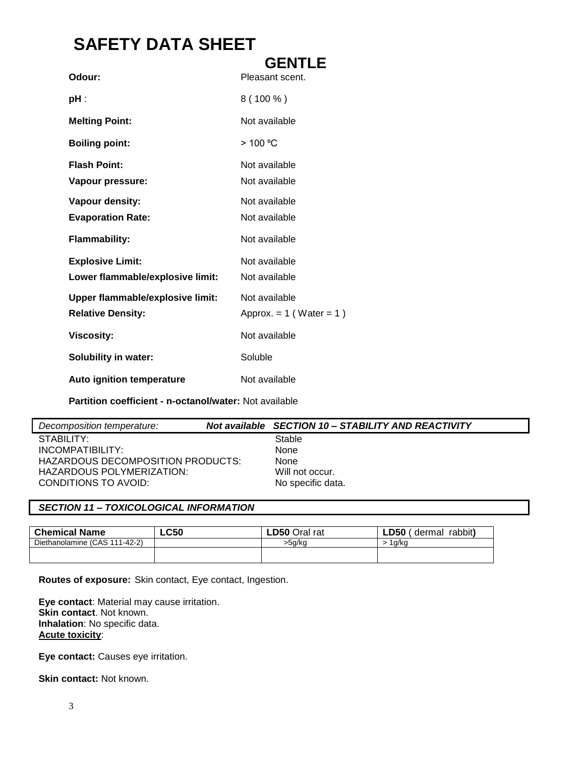|                                         | <b>GENTLE</b>                |
|-----------------------------------------|------------------------------|
| Odour:                                  | Pleasant scent.              |
| pH :                                    | $8(100\%)$                   |
| <b>Melting Point:</b>                   | Not available                |
| <b>Boiling point:</b>                   | > 100 °C                     |
| <b>Flash Point:</b>                     | Not available                |
| Vapour pressure:                        | Not available                |
| Vapour density:                         | Not available                |
| <b>Evaporation Rate:</b>                | Not available                |
| <b>Flammability:</b>                    | Not available                |
| <b>Explosive Limit:</b>                 | Not available                |
| Lower flammable/explosive limit:        | Not available                |
| <b>Upper flammable/explosive limit:</b> | Not available                |
| <b>Relative Density:</b>                | Approx. $= 1$ (Water $= 1$ ) |
| <b>Viscosity:</b>                       | Not available                |
| <b>Solubility in water:</b>             | Soluble                      |
| <b>Auto ignition temperature</b>        | Not available                |

**Partition coefficient - n-octanol/water:** Not available

| Decomposition temperature:        | Not available SECTION 10 - STABILITY AND REACTIVITY |
|-----------------------------------|-----------------------------------------------------|
| STABILITY:                        | Stable                                              |
| INCOMPATIBILITY:                  | None                                                |
| HAZARDOUS DECOMPOSITION PRODUCTS: | None                                                |
| HAZARDOUS POLYMERIZATION:         | Will not occur.                                     |
| CONDITIONS TO AVOID:              | No specific data.                                   |

#### *SECTION 11 – TOXICOLOGICAL INFORMATION*

| <b>Chemical Name</b>          | <b>LC50</b> | <b>LD50 Oral rat</b> | ∟D50<br>rabbit)<br>dermal |
|-------------------------------|-------------|----------------------|---------------------------|
| Diethanolamine (CAS 111-42-2) |             | >5a/ka               | l a/ko                    |
|                               |             |                      |                           |
|                               |             |                      |                           |

**Routes of exposure:** Skin contact, Eye contact, Ingestion.

**Eye contact**: Material may cause irritation. **Skin contact**. Not known. **Inhalation**: No specific data. **Acute toxicity**:

**Eye contact:** Causes eye irritation.

**Skin contact: Not known.**